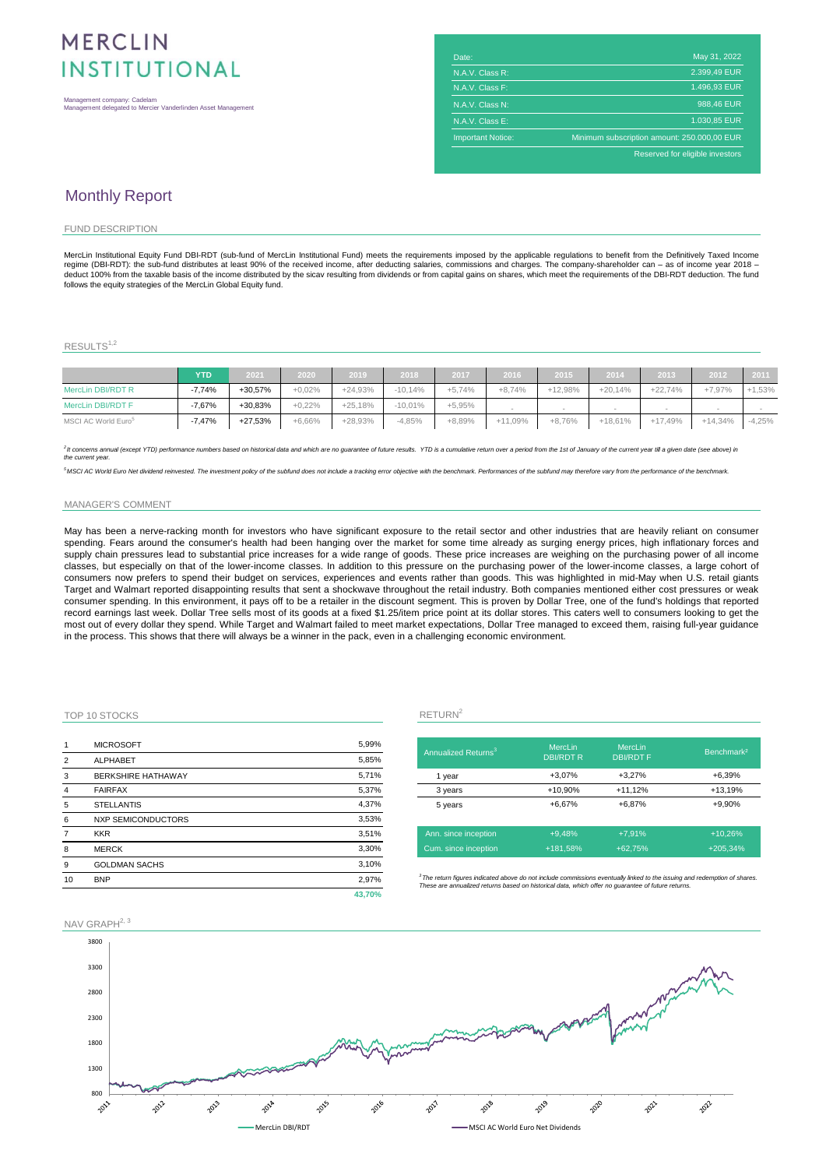# MERCLIN **INSTITUTIONAL**

| <b>MENCLIN</b>                                                                               |                          |                                             |
|----------------------------------------------------------------------------------------------|--------------------------|---------------------------------------------|
|                                                                                              | Date:                    | May 31, 2022                                |
| <b>INSTITUTIONAL</b>                                                                         | N.A.V. Class R:          | 2.399.49 EUR                                |
|                                                                                              | N.A.V. Class F:          | 1.496.93 EUR                                |
| Management company: Cadelam<br>Management delegated to Mercier Vanderlinden Asset Management | N.A.V. Class N:          | 988,46 EUR                                  |
|                                                                                              | N.A.V. Class E:          | 1.030.85 EUR                                |
|                                                                                              | <b>Important Notice:</b> | Minimum subscription amount: 250.000,00 EUR |
|                                                                                              |                          | Reserved for eligible investors             |
|                                                                                              |                          |                                             |

## Monthly Report

#### FUND DESCRIPTION

MercLin Institutional Equity Fund DBI-RDT (sub-fund of MercLin Institutional Fund) meets the requirements imposed by the applicable regulations to benefit from the Definitively Taxed Income<br>regime (DBI-RDT): the sub-fund d deduct 100% from the taxable basis of the income distributed by the sicav resulting from dividends or from capital gains on shares, which meet the requirements of the DBI-RDT deduction. The fund follows the equity strategies of the MercLin Global Equity fund.

### $RESULTS<sup>1,2</sup>$

|                                 | <b>YTD</b> | 2021      | 2020     | 2019      | 2018      | 2017     | 2016       | 2015      | 2014      | 2013      | 2012      | $-2011$  |
|---------------------------------|------------|-----------|----------|-----------|-----------|----------|------------|-----------|-----------|-----------|-----------|----------|
| MercLin DBI/RDT R               | $-7,74%$   | +30.57%   | $+0,02%$ | $+24.93%$ | $-10.14%$ | $+5.74%$ | $+8.74%$   | $+12,98%$ | $+20.14%$ | $+22,74%$ | $+7.97%$  | $+1,53%$ |
| MercLin DBI/RDT F               | $-7.67%$   | +30.83%   | $+0.22%$ | $+25,18%$ | $-10.01%$ | $+5.95%$ |            |           |           |           |           |          |
| MSCI AC World Euro <sup>5</sup> | $-7,47%$   | $+27,53%$ | $+6,66%$ | $+28.93%$ | $-4.85%$  | +8.89%   | $+11,09\%$ | $+8.76%$  | $+18,61%$ | $+17,49%$ | $+14,34%$ | $-4,25%$ |

2 It concerns annual (except YTD) performance numbers based on historical data and which are no guarantee of future results. YTD is a cumulative return over a period from the 1st of January of the current year till a given *the current year.*

<sup>5</sup>MSCI AC World Euro Net dividend reinvested. The investment policy of the subfund does not include a tracking error objective with the benchmark. Performances of the subfund may therefore vary from the performance of the

#### MANAGER'S COMMENT

May has been a nerve-racking month for investors who have significant exposure to the retail sector and other industries that are heavily reliant on consumer spending. Fears around the consumer's health had been hanging over the market for some time already as surging energy prices, high inflationary forces and supply chain pressures lead to substantial price increases for a wide range of goods. These price increases are weighing on the purchasing power of all income classes, but especially on that of the lower-income classes. In addition to this pressure on the purchasing power of the lower-income classes, a large cohort of consumers now prefers to spend their budget on services, experiences and events rather than goods. This was highlighted in mid-May when U.S. retail giants Target and Walmart reported disappointing results that sent a shockwave throughout the retail industry. Both companies mentioned either cost pressures or weak consumer spending. In this environment, it pays off to be a retailer in the discount segment. This is proven by Dollar Tree, one of the fund's holdings that reported record earnings last week. Dollar Tree sells most of its goods at a fixed \$1.25/item price point at its dollar stores. This caters well to consumers looking to get the most out of every dollar they spend. While Target and Walmart failed to meet market expectations, Dollar Tree managed to exceed them, raising full-year guidance in the process. This shows that there will always be a winner in the pack, even in a challenging economic environment.

### TOP 10 STOCKS RETURN<sup>2</sup>

| 1              | <b>MICROSOFT</b>          | 5,99%  |                                       |
|----------------|---------------------------|--------|---------------------------------------|
| $\overline{2}$ | <b>ALPHABET</b>           | 5,85%  | Annualized                            |
| 3              | <b>BERKSHIRE HATHAWAY</b> | 5,71%  | 1 year                                |
| 4              | <b>FAIRFAX</b>            | 5,37%  | 3 years                               |
| 5              | <b>STELLANTIS</b>         | 4,37%  | 5 years                               |
| 6              | <b>NXP SEMICONDUCTORS</b> | 3,53%  |                                       |
| $\overline{7}$ | <b>KKR</b>                | 3,51%  | Ann. since                            |
| 8              | <b>MERCK</b>              | 3,30%  | Cum. since                            |
| 9              | <b>GOLDMAN SACHS</b>      | 3,10%  |                                       |
| 10             | <b>BNP</b>                | 2,97%  | $3$ The return figu<br>These are annu |
|                |                           | 43.70% |                                       |

| Annualized Returns <sup>3</sup> | MercLin<br><b>DBI/RDTR</b> | MercLin<br><b>DBI/RDTF</b> | Benchmark <sup>2</sup> |
|---------------------------------|----------------------------|----------------------------|------------------------|
| 1 year                          | $+3.07%$                   | $+3.27%$                   | $+6.39%$               |
| 3 years                         | +10,90%                    | $+11,12%$                  | $+13,19%$              |
| 5 years                         | $+6.67%$                   | $+6.87%$                   | +9,90%                 |
| Ann. since inception            | $+9.48%$                   | $+7.91%$                   | $+10.26%$              |
| Cum. since inception            | +181,58%                   | $+62.75%$                  | $+205.34%$             |

*3 The return figures indicated above do not include commissions eventually linked to the issuing and redemption of shares. These are annualized returns based on historical data, which offer no guarantee of future returns.*